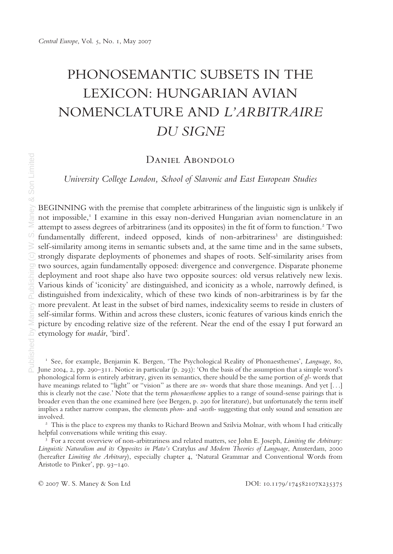# PHONOSEMANTIC SUBSETS IN THE LEXICON: HUNGARIAN AVIAN NOMENCLATURE AND L'ARBITRAIRE DU SIGNE

Daniel Abondolo

University College London, School of Slavonic and East European Studies

BEGINNING with the premise that complete arbitrariness of the linguistic sign is unlikely if not impossible,<sup>1</sup> I examine in this essay non-derived Hungarian avian nomenclature in an attempt to assess degrees of arbitrariness (and its opposites) in the fit of form to function.<sup>2</sup> Two fundamentally different, indeed opposed, kinds of non-arbitrariness<sup>3</sup> are distinguished: self-similarity among items in semantic subsets and, at the same time and in the same subsets, strongly disparate deployments of phonemes and shapes of roots. Self-similarity arises from two sources, again fundamentally opposed: divergence and convergence. Disparate phoneme deployment and root shape also have two opposite sources: old versus relatively new lexis. Various kinds of 'iconicity' are distinguished, and iconicity as a whole, narrowly defined, is Various kinds of 'iconicity' are distinguished, and iconicity as a whole, narrowly defined, is<br>distinguished from indexicality, which of these two kinds of non-arbitrariness is by far the  $\geq$  more prevalent. At least in the subset of bird names, indexicality seems to reside in clusters of self-similar forms. Within and across these clusters, iconic features of various kinds enrich the  $\geq$  picture by encoding relative size of the referent. Near the end of the essay I put forward an  $\geq$  etymology for *madár*, 'bird'.

<sup>1</sup> See, for example, Benjamin K. Bergen, 'The Psychological Reality of Phonaesthemes', Language, 80, June 2004, 2, pp. 290–311. Notice in particular (p. 293): 'On the basis of the assumption that a simple word's phonological form is entirely arbitrary, given its semantics, there should be the same portion of gl- words that have meanings related to "light" or "vision" as there are sn- words that share those meanings. And yet [...] this is clearly not the case.' Note that the term phonaestheme applies to a range of sound-sense pairings that is broader even than the one examined here (see Bergen, p. 290 for literature), but unfortunately the term itself implies a rather narrow compass, the elements phon- and -aesth- suggesting that only sound and sensation are

involved. 2 This is the place to express my thanks to Richard Brown and Szilvia Molnar, with whom I had critically helpful conversations while writing this essay.

 $3\overline{3}$  For a recent overview of non-arbitrariness and related matters, see John E. Joseph, Limiting the Arbitrary: Linguistic Naturalism and its Opposites in Plato's Cratylus and Modern Theories of Language, Amsterdam, 2000 (hereafter Limiting the Arbitrary), especially chapter 4, 'Natural Grammar and Conventional Words from Aristotle to Pinker', pp. 93–140.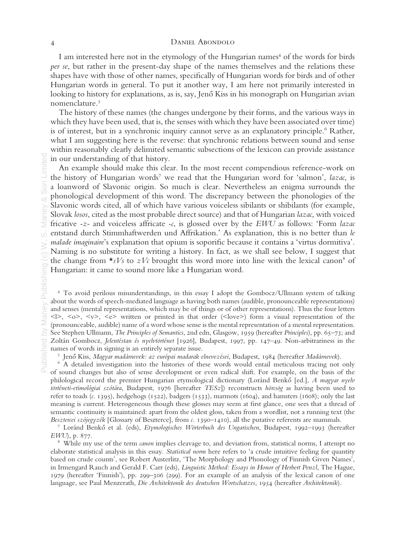I am interested here not in the etymology of the Hungarian names<sup>4</sup> of the words for birds per se, but rather in the present-day shape of the names themselves and the relations these shapes have with those of other names, specifically of Hungarian words for birds and of other Hungarian words in general. To put it another way, I am here not primarily interested in looking to history for explanations, as is, say, Jenő Kiss in his monograph on Hungarian avian nomenclature.5

The history of these names (the changes undergone by their forms, and the various ways in which they have been used, that is, the senses with which they have been associated over time) is of interest, but in a synchronic inquiry cannot serve as an explanatory principle.<sup>6</sup> Rather, what I am suggesting here is the reverse: that synchronic relations between sound and sense within reasonably clearly delimited semantic subsections of the lexicon can provide assistance in our understanding of that history.

An example should make this clear. In the most recent compendious reference-work on the history of Hungarian words<sup>7</sup> we read that the Hungarian word for 'salmon', lazac, is a loanword of Slavonic origin. So much is clear. Nevertheless an enigma surrounds the phonological development of this word. The discrepancy between the phonologies of the Slavonic words cited, all of which have various voiceless sibilants or shibilants (for example, Slovak losos, cited as the most probable direct source) and that of Hungarian lazac, with voiced fricative -z- and voiceless affricate -c, is glossed over by the  $EWU$  as follows: 'Form *lazac* entstand durch Stimmhaftwerden und Affrikation.' As explanation, this is no better than le malade imaginaire's explanation that opium is soporific because it contains a 'virtus dormitiva'. Naming is no substitute for writing a history. In fact, as we shall see below, I suggest that the change from  $\star$ sVs to  $z$ Vc brought this word more into line with the lexical canon<sup>8</sup> of Hungarian: it came to sound more like a Hungarian word.

<sup>4</sup> To avoid perilous misunderstandings, in this essay I adopt the Gombocz/Ullmann system of talking about the words of speech-mediated language as having both names (audible, pronounceable representations) and senses (mental representations, which may be of things or of other representations). Thus the four letters  $\langle \rangle$ ,  $\langle$ o>,  $\langle v \rangle$ ,  $\langle e \rangle$  written or printed in that order ( $\langle$ love>) form a visual representation of the (pronounceable, audible) name of a word whose sense is the mental representation of a mental representation. See Stephen Ullmann, The Principles of Semantics, 2nd edn, Glasgow, 1959 (hereafter Principles), pp. 65–73; and Zoltán Gombocz, Jelentéstan és nyelvtörténet [1926], Budapest, 1997, pp. 147–49. Non-arbitrariness in the names of words in signing is an entirely separate issue.<br>5 Jenő Kiss, Magyar madámevek: az európai madarak elnevezései, Budapest, 1984 (hereafter Madámevek).

<sup>6</sup> A detailed investigation into the histories of these words would entail meticulous tracing not only of sound changes but also of sense development or even radical shift. For example, on the basis of the philological record the premier Hungarian etymological dictionary (Loránd Benkő [ed.], A magyar nyelv történeti-etimológiai szótára, Budapest, 1976 [hereafter TESz]) reconstructs hörcsög as having been used to refer to toads (c. 1395), hedgehogs (1522), badgers (1533), marmots (1604), and hamsters (1608); only the last meaning is current. Heterogeneous though these glosses may seem at first glance, one sees that a thread of semantic continuity is maintained: apart from the oldest gloss, taken from a wordlist, not a running text (the Besztercei szójegyzék [Glossary of Beszterce], from c. 1390–1410), all the putative referents are mammals.

<sup>7</sup> Loránd Benkő et al. (eds), Etymologisches Wörterbuch des Ungarischen, Budapest, 1992–1993 (hereafter EWU), p. 877.

<sup>8</sup> While my use of the term *canon* implies cleavage to, and deviation from, statistical norms, I attempt no elaborate statistical analysis in this essay. Statistical norm here refers to 'a crude intuitive feeling for quantity based on crude counts', see Robert Austerlitz, 'The Morphology and Phonology of Finnish Given Names', in Irmengard Rauch and Gerald F. Carr (eds), Linguistic Method: Essays in Honor of Herbert Penzl, The Hague, 1979 (hereafter 'Finnish'), pp. 299–306 (299). For an example of an analysis of the lexical canon of one language, see Paul Menzerath, Die Architektonik des deutschen Wortschatzes, 1954 (hereafter Architektonik).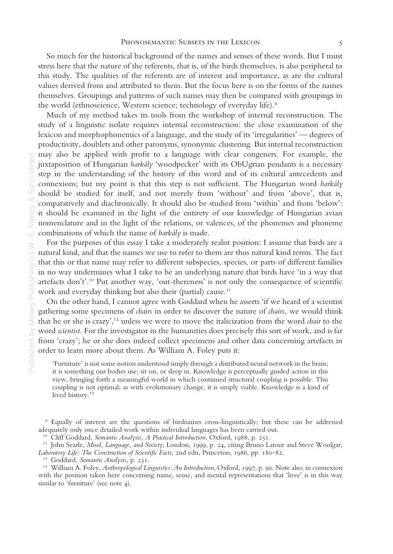So much for the historical background of the names and senses of these words. But I must stress here that the nature of the referents, that is, of the birds themselves, is also peripheral to this study. The qualities of the referents are of interest and importance, as are the cultural values derived from and attributed to them. But the focus here is on the forms of the names themselves. Groupings and patterns of such names may then be compared with groupings in the world (ethnoscience, Western science; technology of everyday life).<sup>9</sup>

Much of my method takes its tools from the workshop of internal reconstruction. The study of a linguistic isolate requires internal reconstruction: the close examination of the lexicon and morphophonemics of a language, and the study of its 'irregularities' — degrees of productivity, doublets and other paronyms, synonymic clustering. But internal reconstruction may also be applied with profit to a language with clear congeners. For example, the juxtaposition of Hungarian harkály 'woodpecker' with its ObUgrian pendants is a necessary step in the understanding of the history of this word and of its cultural antecedents and connexions; but my point is that this step is not sufficient. The Hungarian word harkály should be studied for itself, and not merely from 'without' and from 'above', that is, comparatively and diachronically. It should also be studied from 'within' and from 'below': it should be examined in the light of the entirety of our knowledge of Hungarian avian nomenclature and in the light of the relations, or valences, of the phonemes and phoneme combinations of which the name of harkály is made.

For the purposes of this essay I take a moderately realist position: I assume that birds are a natural kind, and that the names we use to refer to them are thus natural kind terms. The fact that this or that name may refer to different subspecies, species, or parts of different families in no way undermines what I take to be an underlying nature that birds have 'in a way that artefacts don't'.<sup>10</sup> Put another way, 'out-thereness' is not only the consequence of scientific work and everyday thinking but also their (partial) cause.<sup>11</sup>

On the other hand, I cannot agree with Goddard when he asserts 'if we heard of a scientist gathering some specimens of chairs in order to discover the nature of chairs, we would think that he or she is crazy',<sup>12</sup> unless we were to move the italicization from the word *chair* to the  $\geq$  word scientist. For the investigator in the humanities does precisely this sort of work, and is far from 'crazy'; he or she does indeed collect specimens and other data concerning artefacts in order to learn more about them. As William A. Foley puts it:

'Furniture' is not some notion understood simply through a distributed neural network in the brain; it is something our bodies use, sit on, or sleep in. Knowledge is perceptually guided action in this view, bringing forth a meaningful world in which continued structural coupling is possible. This coupling is not optimal; as with evolutionary change, it is simply viable. Knowledge is a kind of lived history.<sup>13</sup>

<sup>9</sup> Equally of interest are the questions of birdnames cross-linguistically; but these can be addressed adequately only once detailed work within individual languages has been carried out.<br><sup>10</sup> Cliff Goddard, *Semantic Analysis, A Practical Introduction*, Oxford, 1988, p. 251.

<sup>11</sup> John Searle, *Mind, Language, and Society*, London, 1999, p. 24, citing Bruno Latour and Steve Woolgar, *Laboratory Life: The Construction of Scientific Facts*, 2nd edn, Princeton, 1986, pp. 180–82.

<sup>12</sup> Goddard, *Semantic Analysis*, p. 251.<br><sup>13</sup> William A. Foley, *Anthropological Linguistics: An Introduction*, Oxford, 1997, p. 90. Note also, in connexion with the position taken here concerning name, sense, and mental representations that 'love' is in this way similar to 'furniture' (see note 4).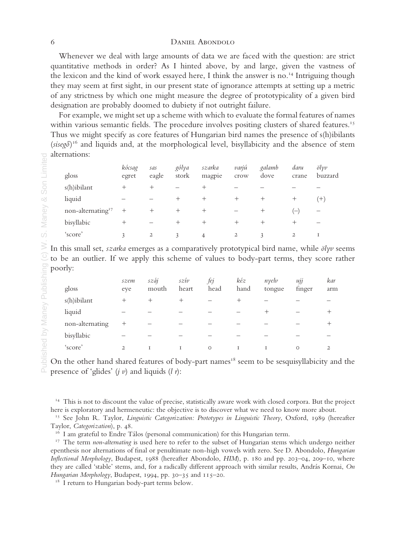Whenever we deal with large amounts of data we are faced with the question: are strict quantitative methods in order? As I hinted above, by and large, given the vastness of the lexicon and the kind of work essayed here, I think the answer is no.14 Intriguing though they may seem at first sight, in our present state of ignorance attempts at setting up a metric of any strictness by which one might measure the degree of prototypicality of a given bird designation are probably doomed to dubiety if not outright failure.

For example, we might set up a scheme with which to evaluate the formal features of names within various semantic fields. The procedure involves positing clusters of shared features.<sup>15</sup> Thus we might specify as core features of Hungarian bird names the presence of s(h)ibilants (sisegő)<sup>16</sup> and liquids and, at the morphological level, bisyllabicity and the absence of stem alternations:

| gloss                         | kócsag<br>egret | sas<br>eagle   | gólya<br>stork | szarka<br>magpie | varjú<br>crow  | galamb<br>dove | daru<br>crane      | $\ddot{o}lvv$<br>buzzard |
|-------------------------------|-----------------|----------------|----------------|------------------|----------------|----------------|--------------------|--------------------------|
| s(h)ibilant                   | $^{+}$          | $^{+}$         |                | $^{+}$           |                |                |                    |                          |
| liquid                        | -               |                | $^{+}$         | $^{+}$           | $^{+}$         | $^{+}$         | $\hspace{0.1mm} +$ | Ή,                       |
| non-alternating <sup>17</sup> | $^{+}$          | $^{+}$         | $^{+}$         | $^{+}$           | -              | $^{+}$         | $-$                | $\overline{\phantom{a}}$ |
| bisyllabic                    | $^{+}$          |                | $^{+}$         | $^{+}$           | $^{+}$         | $^{+}$         | $\pm$              |                          |
| 'score'                       | 3               | $\overline{2}$ |                | 4                | $\overline{2}$ |                | 2                  |                          |

In this small set, szarka emerges as a comparatively prototypical bird name, while  $\partial/\partial y$  seems to be an outlier. If we apply this scheme of values to body-part terms, they score rather

| gloss           | szem<br>eve    | szái<br>mouth | szív<br>heart | fej<br>head | kéz<br>hand | nyelv<br>tongue | ui<br>finger | kar<br>arm     |
|-----------------|----------------|---------------|---------------|-------------|-------------|-----------------|--------------|----------------|
| s(h)ibilant     | $^{+}$         | $^{+}$        | $^{+}$        |             | $^+$        |                 |              |                |
| liquid          |                |               |               |             |             |                 |              | $^{+}$         |
| non-alternating | $^{+}$         |               |               |             |             |                 |              | $^{+}$         |
| bisyllabic      |                |               |               |             |             |                 |              |                |
| 'score'         | $\overline{2}$ |               | T             | $\circ$     |             |                 | $\circ$      | $\mathfrak{p}$ |

On the other hand shared features of body-part names<sup>18</sup> seem to be sesquisyllabicity and the presence of 'glides'  $(j \, v)$  and liquids  $(l \, r)$ :

<sup>14</sup> This is not to discount the value of precise, statistically aware work with closed corpora. But the project here is exploratory and hermeneutic: the objective is to discover what we need to know more about.

<sup>15</sup> See John R. Taylor, *Linguistic Categorization: Prototypes in Linguistic Theory*, Oxford, 1989 (hereafter Taylor, Categorization), p. 48.

<sup>16</sup> I am grateful to Endre Tálos (personal communication) for this Hungarian term.

 $17$  The term *non-alternating* is used here to refer to the subset of Hungarian stems which undergo neither epenthesis nor alternations of final or penultimate non-high vowels with zero. See D. Abondolo, Hungarian Inflectional Morphology, Budapest, 1988 (hereafter Abondolo, HIM), p. 180 and pp. 203–04, 209–10, where they are called 'stable' stems, and, for a radically different approach with similar results, András Kornai, On Hungarian Morphology, Budapest, 1994, pp. 30-35 and 115-20.

<sup>18</sup> I return to Hungarian body-part terms below.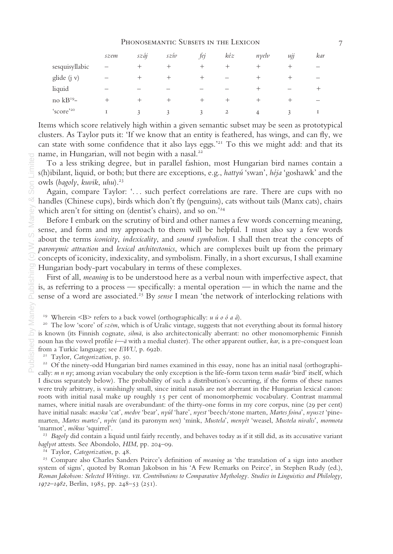# PHONOSEMANTIC SUBSETS IN THE LEXICON 7

|                       | szem                     | száj | sziv                     | fej                | kéz  | nyelv | иjj             | kai                      |
|-----------------------|--------------------------|------|--------------------------|--------------------|------|-------|-----------------|--------------------------|
| sesquisyllabic        |                          | $^+$ | $^+$                     | $\hspace{0.1mm} +$ | $^+$ | $^+$  | $^+$            |                          |
| glide (j v)           | $\overline{\phantom{a}}$ | $^+$ | $^+$                     | $^{\mathrm{+}}$    |      | $^+$  | $^{\mathrm{+}}$ |                          |
| liquid                |                          |      | $\overline{\phantom{a}}$ |                    |      | $^+$  |                 |                          |
| no $kB^{19}$ -        | $^+$                     | $^+$ | $^+$                     | $\hspace{0.1mm} +$ | $^+$ | $^+$  | +               | $\overline{\phantom{a}}$ |
| 'score' <sup>20</sup> |                          |      |                          |                    | 2    | 4     |                 |                          |

Items which score relatively high within a given semantic subset may be seen as prototypical clusters. As Taylor puts it: 'If we know that an entity is feathered, has wings, and can fly, we can state with some confidence that it also lays eggs.'<sup>21</sup> To this we might add: and that its name, in Hungarian, will not begin with a nasal.<sup>22</sup>

To a less striking degree, but in parallel fashion, most Hungarian bird names contain a s(h)ibilant, liquid, or both; but there are exceptions, e.g., hattyú 'swan', héja 'goshawk' and the owls (bagoly, kuvik, uhu).<sup>23</sup>

Again, compare Taylor: '. . . such perfect correlations are rare. There are cups with no handles (Chinese cups), birds which don't fly (penguins), cats without tails (Manx cats), chairs which aren't for sitting on (dentist's chairs), and so on.<sup>24</sup>

Before I embark on the scrutiny of bird and other names a few words concerning meaning, sense, and form and my approach to them will be helpful. I must also say a few words about the terms iconicity, indexicality, and sound symbolism. I shall then treat the concepts of paronymic attraction and lexical architectonics, which are complexes built up from the primary concepts of iconicity, indexicality, and symbolism. Finally, in a short excursus, I shall examine Hungarian body-part vocabulary in terms of these complexes.

First of all, meaning is to be understood here as a verbal noun with imperfective aspect, that is, as referring to a process — specifically: a mental operation — in which the name and the sense of a word are associated.<sup>25</sup> By sense I mean 'the network of interlocking relations with

<sup>19</sup> Wherein <B> refers to a back vowel (orthographically:  $u \dot{u} o \dot{o} a \dot{a}$ ).

<sup>20</sup> The low 'score' of szëm, which is of Uralic vintage, suggests that not everything about its formal history is known (its Finnish cognate, *silmä*, is also architectonically aberrant: no other monomorphemic Finnish noun has the vowel profile  $i$ —ä with a medial cluster). The other apparent outlier, kar, is a pre-conquest loan from a Turkic language; see EWU, p. 692b.

<sup>21</sup> Taylor, Categorization, p. 50.

<sup>22</sup> Of the ninety-odd Hungarian bird names examined in this essay, none has an initial nasal (orthographically:  $m \, n \, n$  ; among avian vocabulary the only exception is the life-form taxon term *madár* 'bird' itself, which I discuss separately below). The probability of such a distribution's occurring, if the forms of these names were truly arbitrary, is vanishingly small, since initial nasals are not aberrant in the Hungarian lexical canon: roots with initial nasal make up roughly 15 per cent of monomorphemic vocabulary. Contrast mammal names, where initial nasals are overabundant: of the thirty-one forms in my core corpus, nine (29 per cent) have initial nasals: macska 'cat', medve 'bear', nyúl 'hare', nyest 'beech/stone marten, Martes foina', nyuszt 'pinemarten, Martes martes', nyérc (and its paronym nerc) 'mink, Mustela', menyét 'weasel, Mustela nivalis', mormota 'marmot', mókus 'squirrel'.

<sup>23</sup> Bagoly did contain a liquid until fairly recently, and behaves today as if it still did, as its accusative variant baglyot attests. See Abondolo, HIM, pp. 204–09.

<sup>24</sup> Taylor, Categorization, p. 48.

<sup>25</sup> Compare also Charles Sanders Peirce's definition of *meaning* as 'the translation of a sign into another system of signs', quoted by Roman Jakobson in his 'A Few Remarks on Peirce', in Stephen Rudy (ed.), Roman Jakobson: Selected Writings. vii. Contributions to Comparative Mythology. Studies in Linguistics and Philology, 1972–1982, Berlin, 1985, pp. 248–53 (251).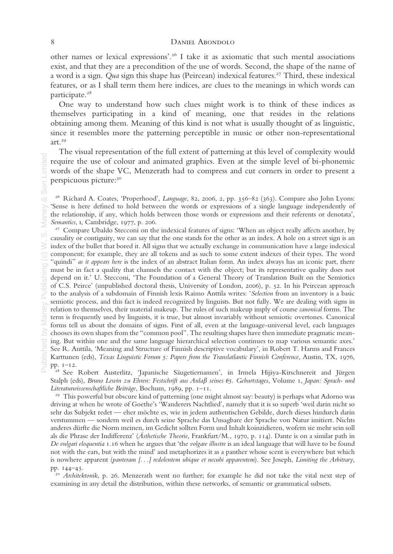other names or lexical expressions'.26 I take it as axiomatic that such mental associations exist, and that they are a precondition of the use of words. Second, the shape of the name of a word is a sign. Qua sign this shape has (Peircean) indexical features.27 Third, these indexical features, or as I shall term them here indices, are clues to the meanings in which words can participate.<sup>28</sup>

One way to understand how such clues might work is to think of these indices as themselves participating in a kind of meaning, one that resides in the relations obtaining among them. Meaning of this kind is not what is usually thought of as linguistic, since it resembles more the patterning perceptible in music or other non-representational art $29$ 

The visual representation of the full extent of patterning at this level of complexity would require the use of colour and animated graphics. Even at the simple level of bi-phonemic words of the shape VC, Menzerath had to compress and cut corners in order to present a perspicuous picture:30

 $26$  Richard A. Coates, 'Properhood', Language, 82, 2006, 2, pp. 356–82 (363). Compare also John Lyons: 'Sense is here defined to hold between the words or expressions of a single language independently of the relationship, if any, which holds between those words or expressions and their referents or denotata', Semantics, I, Cambridge, 1977, p. 206.<br><sup>27</sup> Compare Ubaldo Stecconi on the indexical features of signs: 'When an object really affects another, by

causality or contiguity, we can say that the one stands for the other as an index. A hole on a street sign is an index of the bullet that bored it. All signs that we actually exchange in communication have a large indexical component; for example, they are all tokens and as such to some extent indexes of their types. The word "quindi" as it appears here is the index of an abstract Italian form. An index always has an iconic part, there must be in fact a quality that channels the contact with the object; but its representative quality does not depend on it.' U. Stecconi, 'The Foundation of a General Theory of Translation Built on the Semiotics of C.S. Peirce' (unpublished doctoral thesis, University of London, 2006), p. 52. In his Peircean approach to the analysis of a subdomain of Finnish lexis Raimo Anttila writes: 'Selection from an inventory is a basic semiotic process, and this fact is indeed recognized by linguists. But not fully. We are dealing with signs in relation to themselves, their material makeup. The rules of such makeup imply of course canonical forms. The term is frequently used by linguists, it is true, but almost invariably without semiotic overtones. Canonical forms tell us about the domains of signs. First of all, even at the language-universal level, each languages  $\widehat{\odot}$  chooses its own shapes from the "common pool". The resulting shapes have then immediate pragmatic meaning. But within one and the same language hierarchical selection continues to map various semantic axes.' See R. Anttila, 'Meaning and Structure of Finnish descriptive vocabulary', in Robert T. Harms and Frances Karttunen (eds), Texas Linguistic Forum 5: Papers from the Translatlantic Finnish Conference, Austin, TX, 1976, pp. 1–12.

<sup>28</sup> See Robert Austerlitz, 'Japanische Säugetiernamen', in Irmela Hijiya-Kirschnereit and Jürgen Stalph (eds), Bruno Lewin zu Ehren: Festschrift aus Anlaß seines 65. Geburtstages, Volume 1, Japan: Sprach- und Literaturwissenschaftliche Beiträge, Bochum, 1989, pp. 1–11.

<sup>29</sup> This powerful but obscure kind of patterning (one might almost say: beauty) is perhaps what Adorno was driving at when he wrote of Goethe's 'Wanderers Nachtlied', namely that it is so superb 'weil darin nicht so sehr das Subjekt redet — eher möchte es, wie in jedem authentischen Gebilde, durch dieses hindurch darin verstummen — sondern weil es durch seine Sprache das Unsagbare der Sprache von Natur imitiert. Nichts anderes dürfte die Norm meinen, im Gedicht sollten Form und Inhalt koinzidieren, wofern sie mehr sein soll als die Phrase der Indifferenz' (Ästhetische Theorie, Frankfurt/M., 1970, p. 114). Dante is on a similar path in De vulgari eloquentia 1.16 when he argues that 'the volgare illustre is an ideal language that will have to be found not with the ears, but with the mind' and metaphorizes it as a panther whose scent is everywhere but which is nowhere apparent (panteram [. . .] redolentem ubique et necubi apparentem). See Joseph, Limiting the Arbitrary, pp. 144–45.

<sup>30</sup> Architektonik, p. 26. Menzerath went no further; for example he did not take the vital next step of examining in any detail the distribution, within these networks, of semantic or grammatical subsets.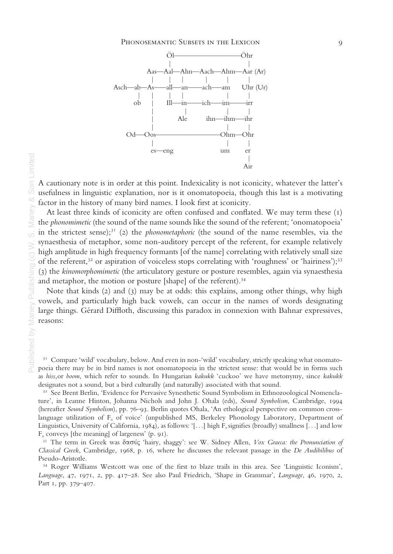

A cautionary note is in order at this point. Indexicality is not iconicity, whatever the latter's usefulness in linguistic explanation, nor is it onomatopoeia, though this last is a motivating factor in the history of many bird names. I look first at iconicity.

At least three kinds of iconicity are often confused and conflated. We may term these  $(i)$ the phonomimetic (the sound of the name sounds like the sound of the referent; 'onomatopoeia' in the strictest sense); $31$  (2) the *phonometaphoric* (the sound of the name resembles, via the synaesthesia of metaphor, some non-auditory percept of the referent, for example relatively high amplitude in high frequency formants [of the name] correlating with relatively small size of the referent,<sup>32</sup> or aspiration of voiceless stops correlating with 'roughness' or 'hairiness');<sup>33</sup> (3) the kinomorphomimetic (the articulatory gesture or posture resembles, again via synaesthesia and metaphor, the motion or posture [shape] of the referent).<sup>34</sup>

Note that kinds (2) and (3) may be at odds: this explains, among other things, why high vowels, and particularly high back vowels, can occur in the names of words designating large things. Gérard Diffloth, discussing this paradox in connexion with Bahnar expressives, reasons:

<sup>31</sup> Compare 'wild' vocabulary, below. And even in non-'wild' vocabulary, strictly speaking what onomatopoeia there may be in bird names is not onomatopoeia in the strictest sense: that would be in forms such as hiss,or boom, which refer to sounds. In Hungarian kakukk 'cuckoo' we have metonymy, since kakukk designates not a sound, but a bird culturally (and naturally) associated with that sound.

<sup>32</sup> See Brent Berlin, 'Evidence for Pervasive Synesthetic Sound Symbolism in Ethnozoological Nomenclature', in Leanne Hinton, Johanna Nichols and John J. Ohala (eds), Sound Symbolism, Cambridge, 1994 (hereafter Sound Symbolism), pp. 76–93. Berlin quotes Ohala, 'An ethological perspective on common crosslanguage utilization of  $F_0$  of voice' (unpublished MS, Berkeley Phonology Laboratory, Department of Linguistics, University of California, 1984), as follows: '[...] high  $F_0$  signifies (broadly) smallness [...] and low  $F_0$  conveys [the meaning] of largeness' (p. 91).

<sup>33</sup> The term in Greek was δασύς 'hairy, shaggy': see W. Sidney Allen, Vox Graeca: the Pronunciation of Classical Greek, Cambridge, 1968, p. 16, where he discusses the relevant passage in the De Audibilibus of Pseudo-Aristotle.

<sup>34</sup> Roger Williams Westcott was one of the first to blaze trails in this area. See 'Linguistic Iconism', Language, 47, 1971, 2, pp. 417–28. See also Paul Friedrich, 'Shape in Grammar', Language, 46, 1970, 2, Part 1, pp. 379–407.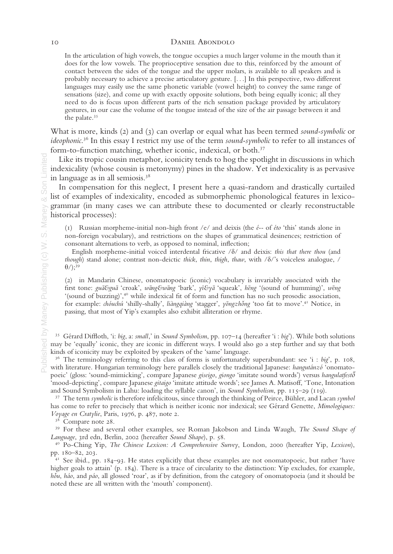In the articulation of high vowels, the tongue occupies a much larger volume in the mouth than it does for the low vowels. The proprioceptive sensation due to this, reinforced by the amount of contact between the sides of the tongue and the upper molars, is available to all speakers and is probably necessary to achieve a precise articulatory gesture. [. . .] In this perspective, two different languages may easily use the same phonetic variable (vowel height) to convey the same range of sensations (size), and come up with exactly opposite solutions, both being equally iconic; all they need to do is focus upon different parts of the rich sensation package provided by articulatory gestures, in our case the volume of the tongue instead of the size of the air passage between it and the palate.35

What is more, kinds (2) and (3) can overlap or equal what has been termed *sound-symbolic* or ideophonic.<sup>36</sup> In this essay I restrict my use of the term sound-symbolic to refer to all instances of form-to-function matching, whether iconic, indexical, or both.<sup>37</sup>

Like its tropic cousin metaphor, iconicity tends to hog the spotlight in discussions in which indexicality (whose cousin is metonymy) pines in the shadow. Yet indexicality is as pervasive in language as in all semiosis.38

In compensation for this neglect, I present here a quasi-random and drastically curtailed list of examples of indexicality, encoded as submorphemic phonological features in lexicogrammar (in many cases we can attribute these to documented or clearly reconstructable historical processes):

(1) Russian morpheme-initial non-high front /e/ and deixis (the  $\ell$ -- of  $\ell$ to 'this' stands alone in non-foreign vocabulary), and restrictions on the shapes of grammatical desinences; restriction of consonant alternations to verb, as opposed to nominal, inflection;

English morpheme-initial voiced interdental fricative  $\delta/$  and deixis: this that there thou (and though) stand alone; contrast non-deictic thick, thin, thigh, thaw, with  $\delta$ 's voiceless analogue, /  $\theta$ <sup>2</sup>);<sup>39</sup>

(2) in Mandarin Chinese, onomatopoeic (iconic) vocabulary is invariably associated with the first tone: gua&gua 'croak', wang&wang 'bark', yi&ya 'squeak', heng '(sound of humming)', weng '(sound of buzzing)',40 while indexical fi t of form and function has no such prosodic association, for example: chóuchú 'shilly-shally', liàngqiàng 'stagger', yōngzhǒng 'too fat to move'.<sup>41</sup> Notice, in passing, that most of Yip's examples also exhibit alliteration or rhyme.

<sup>35</sup> Gérard Diffloth, 'i: big, a: small,' in Sound Symbolism, pp.  $107-14$  (hereafter 'i : big'). While both solutions may be 'equally' iconic, they are iconic in different ways. I would also go a step further and say that both kinds of iconicity may be exploited by speakers of the 'same' language.

<sup>36</sup> The terminology referring to this class of forms is unfortunately superabundant: see 'i : big', p. 108, with literature. Hungarian terminology here parallels closely the traditional Japanese: hangutánzó 'onomatopoeic' (gloss: 'sound-mimicking', compare Japanese giseigo, giongo 'imitate sound words') versus hangulatfesto 'mood-depicting', compare Japanese gitaigo 'imitate attitude words'; see James A. Matisoff, 'Tone, Intonation<br>and Sound Symbolism in Lahu: loading the syllable canon', in Sound Symbolism, pp. 115–29 (119).

<sup>37</sup> The term *symbolic* is therefore infelicitous, since through the thinking of Peirce, Bühler, and Lacan *symbol* has come to refer to precisely that which is neither iconic nor indexical; see Gérard Genette, Mimologiques: Voyage en Cratylie, Paris, 1976, p. 487, note 2.

<sup>38</sup> Compare note 28.<br><sup>39</sup> For these and several other examples, see Roman Jakobson and Linda Waugh, *The Sound Shape of*<br>*Language*, 3rd edn, Berlin, 2002 (hereafter *Sound Shape*), p. 58.

 $40^{\circ}$  Po-Ching Yip, *The Chinese Lexicon: A Comprehensive Survey*, London, 2000 (hereafter Yip, *Lexicon*), pp. 180–82, 203.

<sup>41</sup> See ibid., pp. 184–93. He states explicitly that these examples are not onomatopoeic, but rather 'have higher goals to attain' (p. 184). There is a trace of circularity to the distinction: Yip excludes, for example, hou, háo, and páo, all glossed 'roar', as if by definition, from the category of onomatopoeia (and it should be noted these are all written with the 'mouth' component).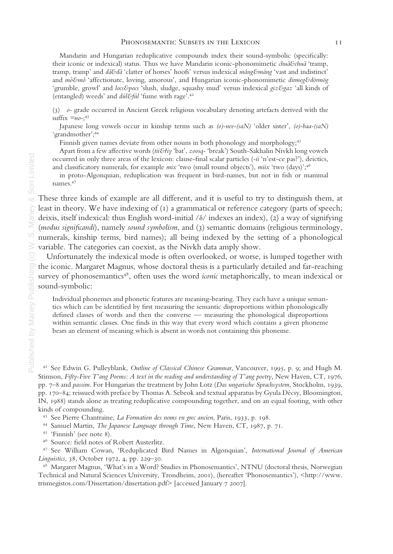Mandarin and Hungarian reduplicative compounds index their sound-symbolic (specifically: their iconic or indexical) status. Thus we have Mandarin iconic-phonomimetic *chua*&chua<sup>+</sup> 'tramp, tramp, tramp' and  $d\bar{a}\&d\bar{a}$  'clatter of horses' hoofs' versus indexical máng&máng 'vast and indistinct' and  $m\delta\epsilon m\delta$  'affectionate, loving, amorous', and Hungarian iconic-phonomimetic *dirmeg&dörmög* 'grumble, growl' and locs&pocs 'slush, sludge, squashy mud' versus indexical giz&gaz 'all kinds of (entangled) weeds' and dúl&fúl 'fume with rage'.42

(3) o- grade occurred in Ancient Greek religious vocabulary denoting artefacts derived with the suffix  $=no^{-;43}$ 

Japanese long vowels occur in kinship terms such as  $(o)$ -nee-(saN) 'older sister',  $(o)$ -baa-(saN) 'grandmother';44

Finnish given names deviate from other nouns in both phonology and morphology;<sup>45</sup>

Apart from a few affective words (tii&fiy 'bat', zoosq- 'break') South-Sakhalin Nivkh long vowels occurred in only three areas of the lexicon: clause-final scalar particles (-ii 'n'est-ce pas?'), deictics, and classificatory numerals, for example mix 'two (small round objects'), miix 'two (days)';<sup>46</sup>

in proto-Algonquian, reduplication was frequent in bird-names, but not in fish or mammal names.47

These three kinds of example are all different, and it is useful to try to distinguish them, at  $\geq$  least in theory. We have indexing of (1) a grammatical or reference category (parts of speech; deixis, itself indexical: thus English word-initial  $\delta/$  indexes an index), (2) a way of signifying (modus significandi), namely sound symbolism, and (3) semantic domains (religious terminology, numerals, kinship terms, bird names); all being indexed by the setting of a phonological variable. The categories can coexist, as the Nivkh data amply show.

Unfortunately the indexical mode is often overlooked, or worse, is lumped together with  $\mathbb{R}^n$  the iconic. Margaret Magnus, whose doctoral thesis is a particularly detailed and far-reaching survey of phonosemantics<sup>48</sup>, often uses the word *iconic* metaphorically, to mean indexical or

Solution the iconic. Marget survey of phonos<br>
sound-symbolic:<br>
Individual photon ics which can<br>
defined classes<br>
within semanti<br>
bears an element<br>  $\frac{1}{2}$ <br>  $\frac{1}{2}$ <br>  $\frac{1}{2}$ <br>  $\frac{1}{2}$ <br>  $\frac{1}{2}$ <br>  $\frac{1}{2}$ <br>  $\frac{1}{2}$ Individual phonemes and phonetic features are meaning-bearing. They each have a unique semantics which can be identified by first measuring the semantic disproportions within phonologically defined classes of words and then the converse — measuring the phonological disproportions within semantic classes. One finds in this way that every word which contains a given phoneme bears an element of meaning which is absent in words not containing this phoneme.

<sup>42</sup> See Edwin G. Pulleyblank, Outline of Classical Chinese Grammar, Vancouver, 1995, p. 9; and Hugh M. Stimson, Fifty-Five T'ang Poems: A text in the reading and understanding of T'ang poetry, New Haven, CT, 1976, pp. 7–8 and passim. For Hungarian the treatment by John Lotz (Das ungarische Sprachsystem, Stockholm, 1939, pp. 170–84; reissued with preface by Thomas A. Sebeok and textual apparatus by Gyula Décsy, Bloomington, IN, 1988) stands alone as treating reduplicative compounding together, and on an equal footing, with other kinds of compounding.

<sup>43</sup> See Pierre Chantraine, La Formation des noms en grec ancien, Paris, 1933, p. 198.

<sup>44</sup> Samuel Martin, *The Japanese Language through Time*, New Haven, CT, 1987, p. 71.

<sup>46</sup> Source: field notes of Robert Austerlitz.

<sup>47</sup> See William Cowan, 'Reduplicated Bird Names in Algonquian', International Journal of American Linguistics, 38, October 1972, 4, pp. 229–30.

<sup>48</sup> Margaret Magnus, 'What's in a Word? Studies in Phonosemantics', NTNU (doctoral thesis, Norwegian Technical and Natural Sciences University, Trondheim, 2001), (hereafter 'Phonosemantics'), <http://www. trismegistos.com/Dissertation/dissertation.pdf> [accessed January 7 2007].

<sup>45</sup> 'Finnish' (see note 8).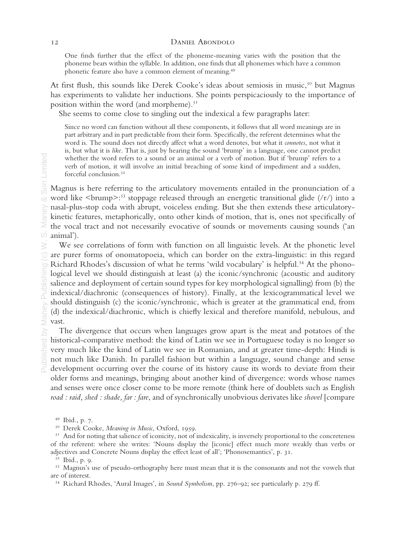One finds further that the effect of the phoneme-meaning varies with the position that the phoneme bears within the syllable. In addition, one finds that all phonemes which have a common phonetic feature also have a common element of meaning.49

At first flush, this sounds like Derek Cooke's ideas about semiosis in music,<sup>50</sup> but Magnus has experiments to validate her inductions. She points perspicaciously to the importance of position within the word (and morpheme). $51$ 

She seems to come close to singling out the indexical a few paragraphs later:

Since no word can function without all these components, it follows that all word meanings are in part arbitrary and in part predictable from their form. Specifically, the referent determines what the word is. The sound does not directly affect what a word denotes, but what it connotes, not what it is, but what it is like. That is, just by hearing the sound 'brump' in a language, one cannot predict whether the word refers to a sound or an animal or a verb of motion. But if 'brump' refers to a verb of motion, it will involve an initial breaching of some kind of impediment and a sudden, forceful conclusion.52

Magnus is here referring to the articulatory movements entailed in the pronunciation of a word like <br/> <br/>stoppage released through an energetic transitional glide (/r/) into a  $\geq$  nasal-plus-stop coda with abrupt, voiceless ending. But she then extends these articulatorykinetic features, metaphorically, onto other kinds of motion, that is, ones not specifically of the vocal tract and not necessarily evocative of sounds or movements causing sounds ('an animal').

We see correlations of form with function on all linguistic levels. At the phonetic level  $\odot$  are purer forms of onomatopoeia, which can border on the extra-linguistic: in this regard Richard Rhodes's discussion of what he terms 'wild vocabulary' is helpful.54 At the phonological level we should distinguish at least (a) the iconic/synchronic (acoustic and auditory salience and deployment of certain sound types for key morphological signalling) from (b) the  $\frac{1}{2}$  indexical/diachronic (consequences of history). Finally, at the lexicogrammatical level we indexical/diachronic (consequences of history). Finally, at the lexicogrammatical level we should distinguish (c) the iconic/synchronic, which is greater at the grammatical end, from (d) the indexical/diachronic, which is chiefly lexical and therefore manifold, nebulous, and  $\sum_{\substack{0 \text{odd } \\ \infty}}^{\infty}$  (d) t.

The divergence that occurs when languages grow apart is the meat and potatoes of the historical-comparative method: the kind of Latin we see in Portuguese today is no longer so historical-comparative method: the kind of Latin we see in Portuguese today is no longer so very much like the kind of Latin we see in Romanian, and at greater time-depth: Hindi is not much like Danish. In parallel fashion but within a language, sound change and sense development occurring over the course of its history cause its words to deviate from their older forms and meanings, bringing about another kind of divergence: words whose names and senses were once closer come to be more remote (think here of doublets such as English road : raid, shed : shade, far : fare, and of synchronically unobvious derivates like shovel [compare

<sup>49</sup> Ibid., p. 7.

<sup>51</sup> And for noting that salience of iconicity, not of indexicality, is inversely proportional to the concreteness of the referent: where she writes: 'Nouns display the [iconic] effect much more weakly than verbs or adjectives and Concrete Nouns display the effect least of all'; 'Phonosemantics', p. 31.

 $52$  Ibid., p. 9.

<sup>53</sup> Magnus's use of pseudo-orthography here must mean that it is the consonants and not the vowels that are of interest.

<sup>54</sup> Richard Rhodes, 'Aural Images', in Sound Symbolism, pp. 276–92; see particularly p. 279 ff.

<sup>&</sup>lt;sup>50</sup> Derek Cooke, Meaning in Music, Oxford, 1959.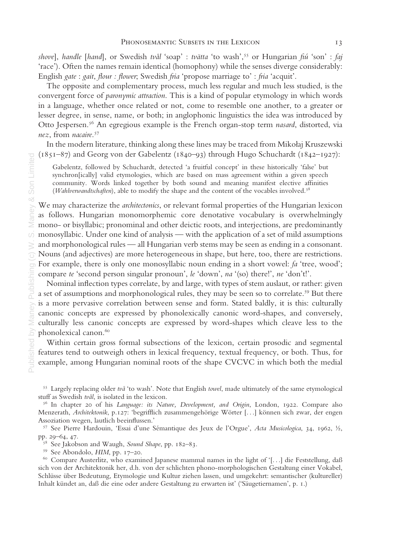shove], handle [hand], or Swedish tvål 'soap' : tvätta 'to wash',<sup>55</sup> or Hungarian fiú 'son' : faj 'race'). Often the names remain identical (homophony) while the senses diverge considerably: English gate : gait, flour : flower; Swedish fria 'propose marriage to' : fria 'acquit'.

The opposite and complementary process, much less regular and much less studied, is the convergent force of paronymic attraction. This is a kind of popular etymology in which words in a language, whether once related or not, come to resemble one another, to a greater or lesser degree, in sense, name, or both; in anglophonic linguistics the idea was introduced by Otto Jespersen.<sup>56</sup> An egregious example is the French organ-stop term nasard, distorted, via nez, from nacaire. 57

In the modern literature, thinking along these lines may be traced from Mikołaj Kruszewski (1851–87) and Georg von der Gabelentz (1840–93) through Hugo Schuchardt (1842–1927):

Gabelentz, followed by Schuchardt, detected 'a fruitful concept' in these historically 'false' but synchron[ically] valid etymologies, which are based on mass agreement within a given speech community. Words linked together by both sound and meaning manifest elective affinities (*Wahlverwandtschaften*), able to modify the shape and the content of the vocables involved.<sup>58</sup>

We may characterize the *architectonics*, or relevant formal properties of the Hungarian lexicon as follows. Hungarian monomorphemic core denotative vocabulary is overwhelmingly mono- or bisyllabic; pronominal and other deictic roots, and interjections, are predominantly  $\varphi$  monosyllabic. Under one kind of analysis — with the application of a set of mild assumptions and morphonological rules — all Hungarian verb stems may be seen as ending in a consonant.  $\sim$  Nouns (and adjectives) are more heterogeneous in shape, but here, too, there are restrictions.  $\sim$  For example, there is only one monosyllabic noun ending in a short vowel: fa 'tree, wood'; compare te 'second person singular pronoun', le 'down', na '(so) there!', ne 'don't!'.

Nominal inflection types correlate, by and large, with types of stem auslaut, or rather: given a set of assumptions and morphonological rules, they may be seen so to correlate.<sup>59</sup> But there is a more pervasive correlation between sense and form. Stated baldly, it is this: culturally canonic concepts are expressed by phonolexically canonic word-shapes, and conversely,  $\geq$  culturally less canonic concepts are expressed by word-shapes which cleave less to the  $\geq$  phonolexical canon.<sup>60</sup>

Within certain gross formal subsections of the lexicon, certain prosodic and segmental features tend to outweigh others in lexical frequency, textual frequency, or both. Thus, for example, among Hungarian nominal roots of the shape CVCVC in which both the medial

<sup>55</sup> Largely replacing older två 'to wash'. Note that English towel, made ultimately of the same etymological stuff as Swedish tvål, is isolated in the lexicon.

<sup>56</sup> In chapter 20 of his Language: its Nature, Development, and Origin, London, 1922. Compare also Menzerath, Architektonik, p.127: 'begrifflich zusammengehörige Wörter [...] können sich zwar, der engen Assoziation wegen, lautlich beeinflussen.'

<sup>57</sup> See Pierre Hardouin, 'Essai d'une Sémantique des Jeux de l'Orgue', Acta Musicologica, 34, 1962, ½, pp. 29–64, 47.

<sup>&</sup>lt;sup>58</sup> See Jakobson and Waugh, Sound Shape, pp. 182-83.

<sup>59</sup> See Abondolo, HIM, pp. 17–20.

<sup>60</sup> Compare Austerlitz, who examined Japanese mammal names in the light of '[. . .] die Feststellung, daß sich von der Architektonik her, d.h. von der schlichten phono-morphologischen Gestaltung einer Vokabel, Schlüsse über Bedeutung, Etymologie und Kultur ziehen lassen, und umgekehrt: semantischer (kultureller) Inhalt kündet an, daß die eine oder andere Gestaltung zu erwarten ist' ('Säugetiernamen', p. 1.)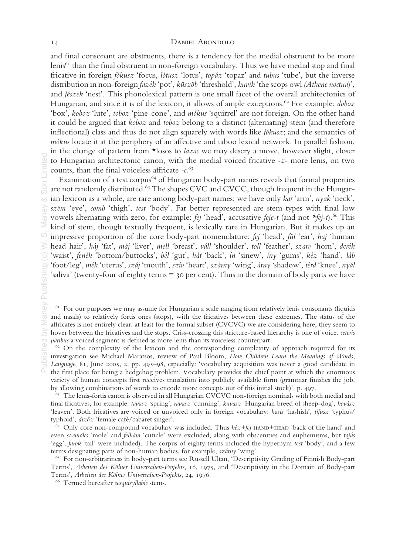### 14 DANIEL ABONDOLO

and final consonant are obstruents, there is a tendency for the medial obstruent to be more lenis<sup>61</sup> than the final obstruent in non-foreign vocabulary. Thus we have medial stop and final fricative in foreign *fókusz* 'focus, *lótusz* 'lotus', *topáz* 'topaz' and *tubus* 'tube', but the inverse distribution in non-foreign fazék 'pot', küszöb 'threshold', kuvik 'the scops owl (Athene noctua)', and fészek 'nest'. This phonolexical pattern is one small facet of the overall architectonics of Hungarian, and since it is of the lexicon, it allows of ample exceptions.<sup>62</sup> For example:  $doboz$ 'box', koboz 'lute', toboz 'pine-cone', and mókus 'squirrel' are not foreign. On the other hand it could be argued that koboz and toboz belong to a distinct (alternating) stem (and therefore inflectional) class and thus do not align squarely with words like *fókusz*; and the semantics of mókus locate it at the periphery of an affective and taboo lexical network. In parallel fashion, in the change of pattern from \*losos to lazac we may descry a move, however slight, closer to Hungarian architectonic canon, with the medial voiced fricative -z- more lenis, on two counts, than the final voiceless affricate  $-c$ .<sup>63</sup>

Examination of a test corpus<sup>64</sup> of Hungarian body-part names reveals that formal properties are not randomly distributed.<sup>65</sup> The shapes CVC and CVCC, though frequent in the Hungarian lexicon as a whole, are rare among body-part names: we have only kar 'arm', nyak 'neck',  $\frac{\partial}{\partial s}$  szëm 'eye', comb 'thigh', test 'body'. Far better represented are stem-types with final low vowels alternating with zero, for example: fej 'head', accusative feje-t (and not  $\star$ fej-t).<sup>66</sup> This kind of stem, though textually frequent, is lexically rare in Hungarian. But it makes up an impressive proportion of the core body-part nomenclature: fej 'head', fül 'ear', haj 'human head-hair', háj 'fat', máj 'liver', mell 'breast', váll 'shoulder', toll 'feather', szarv 'horn', derék 'waist', fenék 'bottom/buttocks', bél 'gut', hát 'back', ín 'sinew', íny 'gums', kéz 'hand', láb 'foot/leg', méh 'uterus', száj 'mouth', szív 'heart', szárny 'wing', árny 'shadow', térd 'knee', nyál 'saliva' (twenty-four of eighty terms = 30 per cent). Thus in the domain of body parts we have

 $62$  On the complexity of the lexicon and the corresponding complexity of approach required for its investigation see Michael Maratsos, review of Paul Bloom, How Children Learn the Meanings of Words, Language, 81, June 2005, 2, pp. 495–98, especially: 'vocabulary acquisition was never a good candidate in  $\Box$  Language, 01, June 2005, 2,  $YY$ . 493 30,  $\Box Y$  expecting. The chief point at which the enormous  $\Box$  the first place for being a hedgehog problem. Vocabulary provides the chief point at which the enormous variety of human concepts first receives translation into publicly available form (grammar finishes the job, by allowing combinations of words to encode more concepts out of this initial stock)', p. 497.

 $63$  The lenis-fortis canon is observed in all Hungarian CVCVC non-foreign nominals with both medial and final fricatives, for example: tavasz 'spring', ravasz 'cunning', kuvasz 'Hungarian breed of sheep-dog', kovász 'leaven'. Both fricatives are voiced or unvoiced only in foreign vocabulary: hasis 'hashish', tífusz 'typhus/ typhoid',  $diz\overset{\sim}{\alpha}z$  'female café/cabaret singer'.

<sup>64</sup> Only core non-compound vocabulary was included. Thus  $k \acute{\e}z + f \acute{e}f$  HAND+HEAD 'back of the hand' and even szemölcs 'mole' and felhám 'cuticle' were excluded, along with obscenities and euphemisms, but tojás 'egg', farok 'tail' were included). The corpus of eighty terms included the hypernym test 'body', and a few terms designating parts of non-human bodies, for example,  $sz\acute{a}m\gamma$ 'wing'.

<sup>65</sup> For non-arbitrariness in body-part terms see Russell Ultan, 'Descriptivity Grading of Finnish Body-part Terms', Arbeiten des Kölner Universalien-Projekts, 16, 1975, and 'Descriptivity in the Domain of Body-part Terms', Arbeiten des Kölner Universalien-Projekts, 24, 1976.

<sup>66</sup> Termed hereafter sesquisyllabic stems.

<sup>&</sup>lt;sup>61</sup> For our purposes we may assume for Hungarian a scale ranging from relatively lenis consonants (liquids and nasals) to relatively fortis ones (stops), with the fricatives between these extremes. The status of the affricates is not entirely clear: at least for the formal subset (CVCVC) we are considering here, they seem to hover between the fricatives and the stops. Criss-crossing this stricture-based hierarchy is one of voice: ceteris paribus a voiced segment is defined as more lenis than its voiceless counterpart.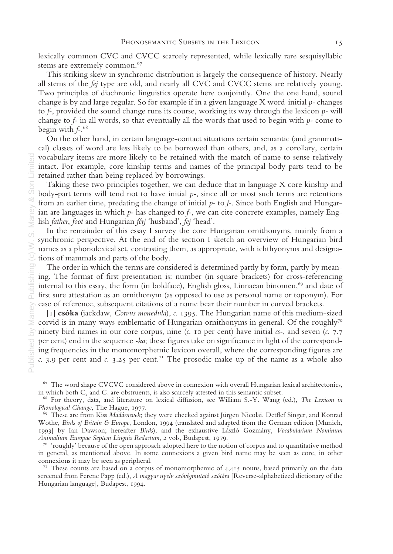lexically common CVC and CVCC scarcely represented, while lexically rare sesquisyllabic stems are extremely common.<sup>67</sup>

This striking skew in synchronic distribution is largely the consequence of history. Nearly all stems of the fej type are old, and nearly all CVC and CVCC stems are relatively young. Two principles of diachronic linguistics operate here conjointly. One the one hand, sound change is by and large regular. So for example if in a given language X word-initial p- changes to  $f<sub>z</sub>$ , provided the sound change runs its course, working its way through the lexicon  $p$ - will change to  $f$ - in all words, so that eventually all the words that used to begin with  $p$ - come to begin with  $f$ -.<sup>68</sup>

On the other hand, in certain language-contact situations certain semantic (and grammatical) classes of word are less likely to be borrowed than others, and, as a corollary, certain vocabulary items are more likely to be retained with the match of name to sense relatively intact. For example, core kinship terms and names of the principal body parts tend to be For vocabulary items are more likely to be retained will intact. For example, core kinship terms and name retained rather than being replaced by borrowings.

Taking these two principles together, we can deduce that in language X core kinship and body-part terms will tend not to have initial  $p<sub>z</sub>$ , since all or most such terms are retentions from an earlier time, predating the change of initial  $p$ - to  $f$ -. Since both English and Hungarian are languages in which  $p$ - has changed to  $f$ -, we can cite concrete examples, namely English father, foot and Hungarian férj 'husband', fej 'head'.

In the remainder of this essay I survey the core Hungarian ornithonyms, mainly from a synchronic perspective. At the end of the section I sketch an overview of Hungarian bird names as a phonolexical set, contrasting them, as appropriate, with ichthyonyms and designations of mammals and parts of the body.

The order in which the terms are considered is determined partly by form, partly by meaning. The format of first presentation is: number (in square brackets) for cross-referencing internal to this essay, the form (in boldface), English gloss, Linnaean binomen,<sup>69</sup> and date of first sure attestation as an ornithonym (as opposed to use as personal name or toponym). For ease of reference, subsequent citations of a name bear their number in curved brackets.

[1] csóka (jackdaw, Corvus monedula), c. 1395. The Hungarian name of this medium-sized corvid is in many ways emblematic of Hungarian ornithonyms in general. Of the roughly<sup>70</sup> ninety bird names in our core corpus, nine (c. 10 per cent) have initial  $\alpha$ -, and seven (c. 7.7) per cent) end in the sequence -ka; these figures take on significance in light of the corresponding frequencies in the monomorphemic lexicon overall, where the corresponding figures are c. 3.9 per cent and c. 3.25 per cent.<sup>71</sup> The prosodic make-up of the name as a whole also

<sup>67</sup> The word shape CVCVC considered above in connexion with overall Hungarian lexical architectonics,

in which both C<sub>2</sub> and C<sub>3</sub> are obstruents, is also scarcely attested in this semantic subset.<br><sup>68</sup> For theory, data, and literature on lexical diffusion, see William S.-Y. Wang (ed.), *The Lexicon in Phonological Change* 

<sup>69</sup> These are from Kiss Madárnevek; they were checked against Jürgen Nicolai, Detflef Singer, and Konrad Wothe, Birds of Britain & Europe, London, 1994 (translated and adapted from the German edition [Munich, 1993] by Ian Dawson; hereafter Birds), and the exhaustive László Gozmány, Vocabularium Nominum<br>Animalium Europae Septem Linguis Redactum, 2 vols, Budapest, 1979.

 $\frac{1}{20}$  'roughly' because of the open approach adopted here to the notion of corpus and to quantitative method in general, as mentioned above. In some connexions a given bird name may be seen as core, in other connexions it may be seen as peripheral.

 $7<sup>1</sup>$  These counts are based on a corpus of monomorphemic of  $4,415$  nouns, based primarily on the data screened from Ferenc Papp (ed.), A magyar nyelv szóvégmutató szótára [Reverse-alphabetized dictionary of the Hungarian language], Budapest, 1994.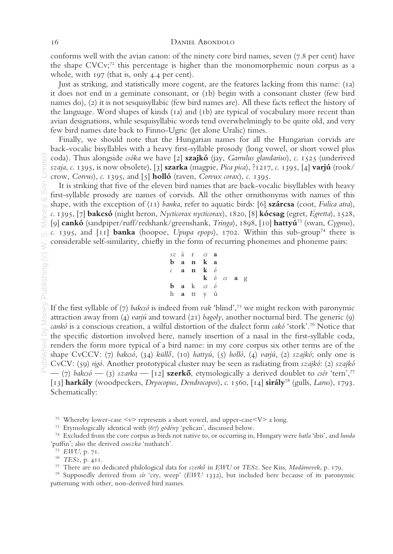conforms well with the avian canon: of the ninety core bird names, seven (7.8 per cent) have the shape CVCv;<sup>72</sup> this percentage is higher than the monomorphemic noun corpus as a whole, with 197 (that is, only 4.4 per cent).

Just as striking, and statistically more cogent, are the features lacking from this name: (1a) it does not end in a geminate consonant, or (1b) begin with a consonant cluster (few bird names do), (2) it is not sesquisyllabic (few bird names are). All these facts reflect the history of the language. Word shapes of kinds (1a) and (1b) are typical of vocabulary more recent than avian designations, while sesquisyllabic words tend overwhelmingly to be quite old, and very few bird names date back to Finno-Ugric (let alone Uralic) times.

Finally, we should note that the Hungarian names for all the Hungarian corvids are back-vocalic bisyllables with a heavy first-syllable prosody (long vowel, or short vowel plus coda). Thus alongside csóka we have [2] szajkó (jay, Garrulus glandarius), c. 1525 (underived szaja, c. 1395, is now obsolete), [3] **szarka** (magpie, Pica pica), ?1217, c. 1395, [4] **varjú** (rook/ crow, Corvus), c. 1395, and [5] holló (raven, Corvux corax), c. 1395.

It is striking that five of the eleven bird names that are back-vocalic bisyllables with heavy first-syllable prosody are names of corvids. All the other ornithonyms with names of this shape, with the exception of (11) banka, refer to aquatic birds: [6] **szárcsa** (coot, Fulica atra), c. 1395, [7] bakcsó (night heron, Nycticorax nycticorax), 1820, [8] kócsag (egret, Egretta), 1528, [9] cankó (sandpiper/ruff/redshank/greenshank, Tringa), 1898, [10] hattyú73 (swan, Cygnus), c. 1395, and  $\overline{11}$  banka (hoopoe, Upupa epops), 1702. Within this sub-group<sup>74</sup> there is considerable self-similarity, chiefly in the form of recurring phonemes and phoneme pairs:

$$
\begin{array}{ccccccc}\nsz & \land & r & & \circ & a \\
b & a & n & k & a \\
c & a & n & k & \delta \\
b & a & k & \circ & \circ & a \\
b & a & t & y & u\n\end{array}
$$

If the first syllable of (7) bakesó is indeed from vak 'blind',<sup>75</sup> we might reckon with paronymic attraction away from (4) varjú and toward (21) bagoly, another nocturnal bird. The generic (9) cankó is a conscious creation, a wilful distortion of the dialect form *cakó* 'stork'.<sup>76</sup> Notice that the specific distortion involved here, namely insertion of a nasal in the first-syllable coda, renders the form more typical of a bird name: in my core corpus six other terms are of the shape CvCCV: (7) bakcsó, (34) küllő, (10) hattyú, (5) holló, (4) varjú, (2) szajkó; only one is CvCV: (59) rigó. Another prototypical cluster may be seen as radiating from szajkó: (2) szajkó  $-$  (7) bakcsó - (3) szarka - [12] szerkő, etymologically a derived doublet to csér 'tern',<sup>77</sup> [13] harkály (woodpeckers, Dryocopus, Dendrocopos), c. 1560, [14] sirály78 (gulls, Larus), 1793. Schematically:

<sup>73</sup> Etymologically identical with (67) gödény 'pelican', discussed below.

<sup>74</sup> Excluded from the core corpus as birds not native to, or occurring in, Hungary were batla 'ibis', and lunda 'puffin'; also the derived csuszka 'nuthatch'.

<sup>78</sup> Supposedly derived from sír 'cry, weep' (EWU 1332), but included here because of its paronymic patterning with other, non-derived bird names.

<sup>&</sup>lt;sup>72</sup> Whereby lower-case  $\langle v \rangle$  represents a short vowel, and upper-case $\langle V \rangle$  a long.

<sup>75</sup> EWU, p. 71.

<sup>76</sup> TESz, p. 411.

<sup>77</sup> There are no dedicated philological data for szerkő in EWU or TESz. See Kiss, Madárnevek, p. 179.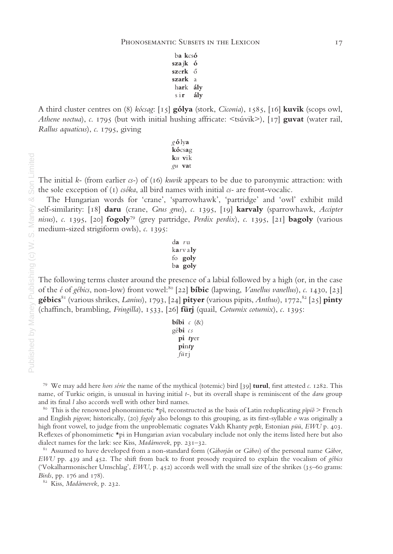ba kcsó sza jk ó szerk ő szark a hark ály s ir álv

A third cluster centres on (8) kócsag: [15] gólya (stork, Ciconia), 1585, [16] kuvik (scops owl, Athene noctua), c. 1795 (but with initial hushing affricate:  $\langle$ tsúvik $\rangle$ ), [17] **guvat** (water rail, Rallus aquaticus), c. 1795, giving

> g ó lya kócsag ku vik gu vat

The initial k- (from earlier  $\alpha$ -) of (16) kuvik appears to be due to paronymic attraction: with the sole exception of  $(I)$  csóka, all bird names with initial cs- are front-vocalic.

The Hungarian words for 'crane', 'sparrowhawk', 'partridge' and 'owl' exhibit mild self-similarity: [18] daru (crane, Grus grus), c. 1395, [19] karvaly (sparrowhawk, Accipter nisus), c. 1395, [20]  $fogoly^{79}$  (grey partridge, *Perdix perdix*), c. 1395, [21] **bagoly** (various medium-sized strigiform owls), c. 1395:

> $da$   $ru$ kar v a ly fo goly ba goly

The following terms cluster around the presence of a labial followed by a high (or, in the case of the *é* of gébics, non-low) front vowel:<sup>80</sup> [22] **bíbic** (lapwing, *Vanellus vanellus*), c. 1430, [23] gébics<sup>81</sup> (various shrikes, *Lanius*), 1793, [24] pityer (various pipits, *Anthus*), 1772, <sup>82</sup> [25] pinty (chaffinch, brambling, Fringilla), 1533, [26] fürj (quail, Coturnix coturnix), c. 1395:

```
bíbi c(\&)gébi cs
  pi tyer
  pinty
 fü r j
```
<sup>79</sup> We may add here *hors série* the name of the mythical (totemic) bird [39] **turul**, first attested c. 1282. This name, of Turkic origin, is unusual in having initial  $t$ -, but its overall shape is reminiscent of the *daru* group and its final l also accords well with other bird names.

<sup>80</sup> This is the renowned phonomimetic \*pī, reconstructed as the basis of Latin reduplicating *pipiō* > French and English pigeon; historically, (20) fogoly also belongs to this grouping, as its first-syllable  $\rho$  was originally a high front vowel, to judge from the unproblematic cognates Vakh Khanty pe*n*k, Estonian püü, EWU p. 403. Reflexes of phonomimetic  $\star$ pi in Hungarian avian vocabulary include not only the items listed here but also dialect names for the lark: see Kiss, Madárnevek, pp. 231–32.

<sup>81</sup> Assumed to have developed from a non-standard form (Gáborján or Gábos) of the personal name Gábor, EWU pp. 439 and 452. The shift from back to front prosody required to explain the vocalism of gébics ('Vokalharmonischer Umschlag', EWU, p. 452) accords well with the small size of the shrikes (35–60 grams: Birds, pp. 176 and 178).

<sup>82</sup> Kiss, Madárnevek, p. 232.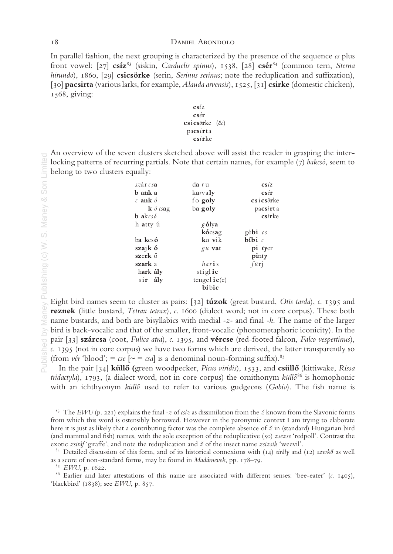In parallel fashion, the next grouping is characterized by the presence of the sequence  $\alpha$  plus front vowel:  $[27]$  csíz<sup>83</sup> (siskin, *Carduelis spinus*), 1538,  $[28]$  csér<sup>84</sup> (common tern, *Sterna* hirundo), 1860, [29] csicsörke (serin, Serinus serinus; note the reduplication and suffixation), [30] pacsirta (various larks, for example, Alauda arvensis), 1525, [31] csirke (domestic chicken), 1568, giving:

$$
\begin{array}{cc}\n\text{csz} \\
\text{csér} \\
\text{csicsörke} \\
\text{passirta} \\
\text{csirke}\n\end{array}
$$

An overview of the seven clusters sketched above will assist the reader in grasping the interlocking patterns of recurring partials. Note that certain names, for example (7) bakesó, seem to belong to two clusters equally:

| szár cs <b>a</b>           | $\mathrm{d}a$ $r$ $u$  | csiz                                                                 |
|----------------------------|------------------------|----------------------------------------------------------------------|
| b ank a                    | karvaly                | csér                                                                 |
| c ank $\delta$             | fo goly                | $\mathbf{c}\mathbf{s}$ i $\mathbf{c}\mathbf{s}\partial\mathbf{r}$ ke |
| $\mathbf{k}$ <i>ó csag</i> | ba goly                | pacsirt a                                                            |
| <b>b</b> akcsó             |                        | $\mathbf{c}$ sirke                                                   |
| h atty ú                   | $g$ ólya               |                                                                      |
|                            | kócsag                 | $g$ ébi $cs$                                                         |
| ba kcsó                    | $\mathbf{k}u$ vik      | $\mathbf{b}$ ibi $\mathbf{c}$                                        |
| $szajk \, \delta$          | $g u$ vat              | $pi$ tyer                                                            |
| szerk ő                    |                        | $\text{pin}ty$                                                       |
| szark a                    | har <b>i</b> s         | fürj                                                                 |
| hark ály                   | stiglic                |                                                                      |
| sir ály                    | $tengel$ <b>ic</b> (e) |                                                                      |
|                            | bíbic                  |                                                                      |

Eight bird names seem to cluster as pairs: [32] túzok (great bustard, Otis tarda), c. 1395 and reznek (little bustard, Tetrax tetrax), c. 1600 (dialect word; not in core corpus). These both name bustards, and both are bisyllabics with medial  $-z$ - and final -k. The name of the larger bird is back-vocalic and that of the smaller, front-vocalic (phonometaphoric iconicity). In the  $\geq$  bird is back-vocalic and that of the smaller, front-vocalic (phonometaphoric iconicity). In the  $\frac{1}{2}$  pair [33] szárcsa (coot, *Fulica atra*), c. 1395, and **vércse** (red-footed falcon, *Falco vespertinus*), c. 1395 (not in core corpus) we have two forms which are derived, the latter transparently so (from vér 'blood'; =  $\csc \left[ \approx \right]$  =  $\csc \left[ \approx \right]$  is a denominal noun-forming suffix).<sup>85</sup>

In the pair [34] küllő (green woodpecker, Picus viridis), 1533, and csüllő (kittiwake, Rissa tridactyla), 1793, (a dialect word, not in core corpus) the ornithonym küll $\delta^{86}$  is homophonic with an ichthyonym küllő used to refer to various gudgeons (Gobio). The fish name is

<sup>83</sup> The EWU (p. 221) explains the final -z of csíz as dissimilation from the  $\zeta$  known from the Slavonic forms from which this word is ostensibly borrowed. However in the paronymic context I am trying to elaborate here it is just as likely that a contributing factor was the complete absence of ž in (standard) Hungarian bird (and mammal and fish) names, with the sole exception of the reduplicative (50) zsezse 'redpoll'. Contrast the exotic zsiráf 'giraffe', and note the reduplication and ž of the insect name zsizsik 'weevil'.

84 Detailed discussion of this form, and of its historical connexions with (14) sirály and (12) szerkő as well as a score of non-standard forms, may be found in Madárnevek, pp. 178–79.

<sup>85</sup> EWU, p. 1622.

<sup>86</sup> Earlier and later attestations of this name are associated with different senses: 'bee-eater' (c. 1405), 'blackbird' (1838); see EWU, p. 857.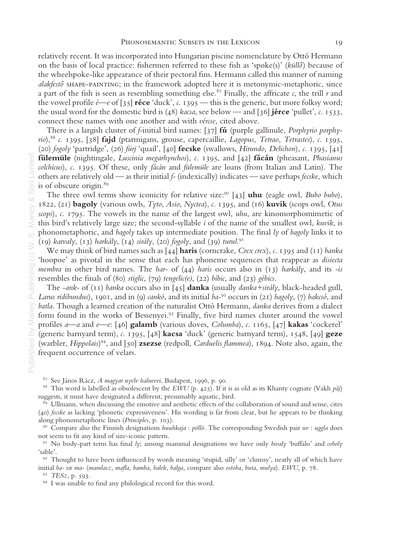relatively recent. It was incorporated into Hungarian piscine nomenclature by Ottó Hermann on the basis of local practice: fishermen referred to these fish as 'spoke(s)' (küllő) because of the wheelspoke-like appearance of their pectoral fins. Hermann called this manner of naming  $alakfest$  shape-painting; in the framework adopted here it is metonymic-metaphoric, since a part of the fish is seen as resembling something else.<sup>87</sup> Finally, the affricate c, the trill r and the vowel profile  $\ell$ —e of [35] réce 'duck', c. 1395 — this is the generic, but more folksy word; the usual word for the domestic bird is (48) kacsa, see below — and [36] **jérce** 'pullet', c. 1533, connect these names with one another and with *vércse*, cited above.

There is a largish cluster of f-initial bird names:  $[37]$  fú (purple gallinule, *Porphyrio porphy*rio), 88 c. 1395, [38] fajd (ptarmigans, grouse, capercaillie, Lagopus, Tetrao, Tetrastes), c. 1395, (20) fogoly 'partridge', (26) fürj 'quail', [40] fecske (swallows, Hirundo, Delichon), c. 1395, [41] fülemüle (nightingale, Luscinia megarhynchos), c. 1395, and [42] fácán (pheasant, Phasianus  $\alpha$ colchicus), c. 1395. Of these, only *fácán* and *fülemüle* are loans (from Italian and Latin). The others are relatively old — as their initial f- (indexically) indicates — save perhaps fecske, which is of obscure origin.<sup>89</sup>

The three owl terms show iconicity for relative size:<sup>90</sup> [43] **uhu** (eagle owl, *Bubo bubo*), 1822, (21) bagoly (various owls, Tyto, Asio, Nyctea), c. 1395, and (16) kuvik (scops owl, Otus scops), c. 1795. The vowels in the name of the largest owl, uhu, are kinomorphomimetic of this bird's relatively large size; the second-syllable  $i$  of the name of the smallest owl, kuvik, is phonometaphoric, and *bagoly* takes up intermediate position. The final ly of *bagoly* links it to (19) karvaly, (13) harkály, (14) sirály, (20) fogoly, and (39) turul.<sup>91</sup>

We may think of bird names such as [44] haris (corncrake, Crex crex), c. 1395 and (11) banka 'hoopoe' as pivotal in the sense that each has phoneme sequences that reappear as disiecta membra in other bird names. The har- of  $(44)$  haris occurs also in  $(13)$  harkály, and its -is moopool as problem in the sense that each has probleme sequences that  $\frac{1}{2}$  membra in other bird names. The *har-* of (44) *haris* occurs also in (13) resembles the finals of (80) *stiglic*, (79) *tengelic(e)*, (22)

The -ank- of (11) banka occurs also in [45] **danka** (usually danka+sirály, black-headed gull,  $\vec{C}$  Larus ridibundus), 1901, and in (9) cankó, and its initial ba-<sup>92</sup> occurs in (21) bagoly, (7) bakesó, and batla. Though a learned creation of the naturalist Ottó Hermann, danka derives from a dialect form found in the works of Bessenyei.<sup>93</sup> Finally, five bird names cluster around the vowel profiles  $a$ —a and  $e$ — $e$ : [46] galamb (various doves, *Columba*), c. 1165, [47] kakas 'cockerel' (generic barnyard term), c. 1395, [48] kacsa 'duck' (generic barnyard term), 1548, [49] geze (warbler, Hippolais)<sup>94</sup>, and [50] zsezse (redpoll, Carduelis flammea), 1894. Note also, again, the frequent occurrence of velars.

<sup>93</sup> TESz, p. 593.

<sup>94</sup> I was unable to find any philological record for this word.

 $87$  See János Rácz, A magyar nyelv halnevei, Budapest, 1996, p. 90.

<sup>&</sup>lt;sup>88</sup> This word is labelled as obsolescent by the EWU (p. 425). If it is as old as its Khanty cognate (Vakh pāj) suggests, it must have designated a different, presumably aquatic, bird.

<sup>&</sup>lt;sup>89</sup> Ullmann, when discussing the emotive and aesthetic effects of the collaboration of sound and sense, cites (40) fecske as lacking 'phonetic expressiveness'. His wording is far from clear, but he appears to be thinking along phonometaphoric lines (Principles, p. 103).

<sup>&</sup>lt;sup>90</sup> Compare also the Finnish designations *huuhkaja : pöllö*. The corresponding Swedish pair  $uv$  : uggla does not seem to fit any kind of size-iconic pattern.

<sup>&</sup>lt;sup>91</sup> No body-part term has final ly; among mammal designations we have only bivaly 'buffalo' and *coboly* 'sable'.

 $92$  Thought to have been influenced by words meaning 'stupid, silly' or 'clumsy', nearly all of which have initial ba- or ma- (mamlasz, mafla, bamba, balek, balga, compare also ostoba, buta, mulya). EWU, p. 78.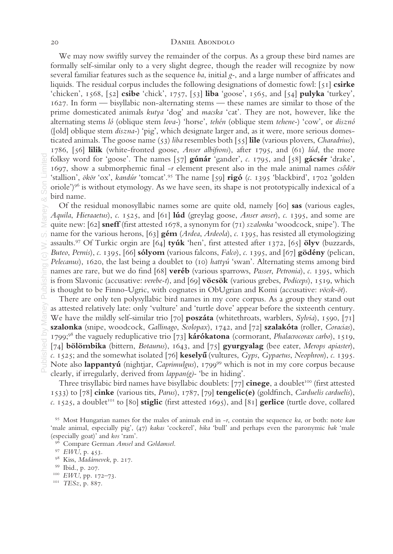#### 20 DANIEL ABONDOLO

We may now swiftly survey the remainder of the corpus. As a group these bird names are formally self-similar only to a very slight degree, though the reader will recognize by now several familiar features such as the sequence ba, initial  $g$ -, and a large number of affricates and liquids. The residual corpus includes the following designations of domestic fowl:  $\lceil 51 \rceil$  csirke 'chicken', 1568, [52] csibe 'chick', 1757, [53] liba 'goose', 1565, and [54] pulyka 'turkey', 1627. In form — bisyllabic non-alternating stems — these names are similar to those of the prime domesticated animals kutya 'dog' and macska 'cat'. They are not, however, like the alternating stems ló (oblique stem lova-) 'horse', tehén (oblique stem tehene-) 'cow', or disznó ([old] oblique stem diszna-) 'pig', which designate larger and, as it were, more serious domesticated animals. The goose name (53) liba resembles both [55] lile (various plovers, *Charadrius*), 1786, [56] lilik (white-fronted goose, Anser albifrons), after 1795, and (61) lúd, the more folksy word for 'goose'. The names [57] **gúnár** 'gander', c. 1795, and [58] **gácsér** 'drake', 1697, show a submorphemic final -r element present also in the male animal names  $cs\ddot{o}d\ddot{o}r$ 'stallion', ökör 'ox', kandúr 'tomcat'.<sup>95</sup> The name [59] rigó (c. 1395 'blackbird', 1702 'golden oriole')<sup>96</sup> is without etymology. As we have seen, its shape is not prototypically indexical of a bird name.

Of the residual monosyllabic names some are quite old, namely [60] sas (various eagles, Aquila, Hieraaetus), c. 1525, and [61] lúd (greylag goose, Anser anser), c. 1395, and some are quite new: [62] sneff (first attested 1678, a synonym for (71) szalonka 'woodcock, snipe'). The  $\sigma$  name for the various herons, [63] **gém** (Ardea, Ardeola), c. 1395, has resisted all etymologizing assaults.<sup>97</sup> Of Turkic orgin are  $[64]$  tyúk 'hen', first attested after 1372,  $[65]$  ölyv (buzzards, Buteo, Pernis), c. 1395, [66] **sólyom** (various falcons, Falco), c. 1395, and [67] **gödény** (pelican, Pelecanus), 1620, the last being a doublet to (10) hattyú 'swan'. Alternating stems among bird names are rare, but we do find [68] veréb (various sparrows, Passer, Petronia), c. 1395, which is from Slavonic (accusative: verebe-t), and [69] **vöcsök** (various grebes, *Podiceps*), 1519, which is thought to be Finno-Ugric, with cognates in ObUgrian and Komi (accusative:  $\vec{v}\vec{c}$ sk- $\vec{v}$ t).<br>There are only ten polysyllabic bird names in my core corpus. As a group they stand of

There are only ten polysyllabic bird names in my core corpus. As a group they stand out as attested relatively late: only 'vulture' and 'turtle dove' appear before the sixteenth century. We have the mildly self-similar trio [70] **poszáta** (whitethroats, warblers, *Sylvia*), 1590, [71] szalonka (snipe, woodcock, Gallinago, Scolopax), 1742, and [72] szalakóta (roller, Coracias), 1799;<sup>98</sup> the vaguely reduplicative trio [73] kárókatona (cormorant, *Phalacrocorax carbo*), 1519, [74] bölömbika (bittern, Botaurus), 1643, and [75] gyurgyalag (bee eater, Merops apiaster), c. 1525; and the somewhat isolated [76] keselyű (vultures, Gyps, Gypaetus, Neophron), c. 1395. Note also lappantyú (nightjar, Caprimulgus), 179999 which is not in my core corpus because clearly, if irregularly, derived from lappan(g)- 'be in hiding'.

Three trisyllabic bird names have bisyllabic doublets: [77] cinege, a doublet<sup>100</sup> (first attested 1533) to [78] cinke (various tits, Parus), 1787, [79] tengelic(e) (goldfinch, Carduelis carduelis), c. 1525, a doublet<sup>101</sup> to [80] **stiglic** (first attested 1695), and [81] **gerlice** (turtle dove, collared

<sup>96</sup> Compare German Amsel and Goldamsel.

- <sup>98</sup> Kiss, Madárnevek, p. 217.
- <sup>99</sup> Ibid., p. 207.
- <sup>100</sup> EWU, pp. 172–73.
- $^{101}$  TESz, p. 887.

<sup>&</sup>lt;sup>95</sup> Most Hungarian names for the males of animals end in  $-r$ , contain the sequence ka, or both: note kan 'male animal, especially pig', (47) kakas 'cockerel', bika 'bull' and perhaps even the paronymic bak 'male (especially goat)' and kos 'ram'.

<sup>97</sup> EWU, p. 453.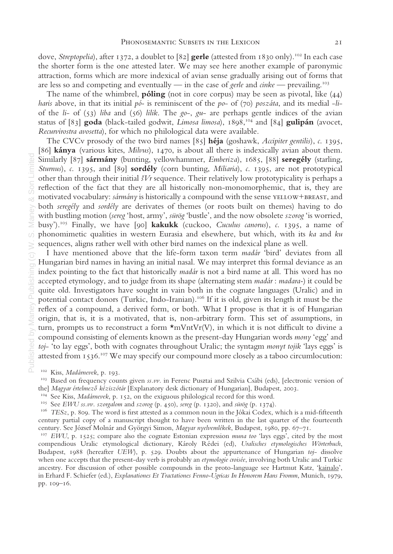dove, Streptopelia), after 1372, a doublet to [82] gerle (attested from 1830 only).<sup>102</sup> In each case the shorter form is the one attested later. We may see here another example of paronymic attraction, forms which are more indexical of avian sense gradually arising out of forms that are less so and competing and eventually — in the case of gerle and cinke — prevailing.<sup>103</sup>

The name of the whimbrel, **póling** (not in core corpus) may be seen as pivotal, like  $(44)$ haris above, in that its initial  $p\acute{o}$ - is reminiscent of the po- of (70) poszáta, and its medial -liof the li- of (53) liba and (56) lilik. The go-, gu- are perhaps gentle indices of the avian status of [83] goda (black-tailed godwit, *Limosa limosa*),  $1898$ ,<sup>104</sup> and [84] gulipán (avocet, Recurvirostra avosetta), for which no philological data were available.

The CVCv prosody of the two bird names [85] héja (goshawk, Accipiter gentilis), c. 1395, [86] kánya (various kites, Milvus), 1470, is about all there is indexically avian about them. Similarly [87] sármány (bunting, yellowhammer, Emberiza), 1685, [88] seregély (starling, Sturnus), c. 1395, and [89] sordély (corn bunting, Miliaria), c. 1395, are not prototypical other than through their initial  $\frac{3}{2}Vr$  sequence. Their relatively low prototypicality is perhaps a reflection of the fact that they are all historically non-monomorphemic, that is, they are motivated vocabulary:  $sármány$  is historically a compound with the sense YELLOW+BREAST, and both seregély and sordély are derivates of themes (or roots built on themes) having to do with bustling motion (sereg 'host, army', sürög 'bustle', and the now obsolete szorog 'is worried, busy').105 Finally, we have [90] kakukk (cuckoo, Cuculus canorus), c. 1395, a name of phonomimetic qualities in western Eurasia and elsewhere, but which, with its ka and ku sequences, aligns rather well with other bird names on the indexical plane as well.

I have mentioned above that the life-form taxon term madár 'bird' deviates from all Hungarian bird names in having an initial nasal. We may interpret this formal deviance as an index pointing to the fact that historically madár is not a bird name at all. This word has no accepted etymology, and to judge from its shape (alternating stem madár : madara-) it could be quite old. Investigators have sought in vain both in the cognate languages (Uralic) and in potential contact donors (Turkic, Indo-Iranian).<sup>106</sup> If it is old, given its length it must be the reflex of a compound, a derived form, or both. What I propose is that it is of Hungarian origin, that is, it is a motivated, that is, non-arbitrary form. This set of assumptions, in turn, prompts us to reconstruct a form  $\star$ mVntVr(V), in which it is not difficult to divine a compound consisting of elements known as the present-day Hungarian words mony 'egg' and toj- 'to lay eggs', both with cognates throughout Uralic; the syntagm monyt tojik 'lays eggs' is attested from 1536.107 We may specify our compound more closely as a taboo circumlocution:

<sup>102</sup> Kiss, Madárnevek, p. 193.

<sup>103</sup> Based on frequency counts given ss.vv. in Ferenc Pusztai and Szilvia Csábi (eds), [electronic version of the] Magyar értelmező kéziszótár [Explanatory desk dictionary of Hungarian], Budapest, 2003.

<sup>104</sup> See Kiss, *Madárnevek*, p. 152, on the exiguous philological record for this word.

<sup>105</sup> See EWU ss.vv. szorgalom and szorog (p. 450), sereg (p. 1320), and sürög (p. 1374).

 $106$  TESz, p. 809. The word is first attested as a common noun in the Jókai Codex, which is a mid-fifteenth century partial copy of a manuscript thought to have been written in the last quarter of the fourteenth century. See József Molnár and Györgyi Simon, Magyar nyelvemlékek, Budapest, 1980, pp. 67–71.

<sup>107</sup> EWU, p. 1525; compare also the cognate Estonian expression muna too 'lays eggs', cited by the most compendious Uralic etymological dictionary, Károly Rédei (ed), Uralisches etymologisches Wörterbuch, Budapest, 1988 (hereafter UEW), p. 529. Doubts about the appurtenance of Hungarian toj- dissolve when one accepts that the present-day verb is probably an etymologie croisée, involving both Uralic and Turkic ancestry. For discussion of other possible compounds in the proto-language see Hartmut Katz, 'kainalo', in Erhard F. Schiefer (ed.), Explanationes Et Tractationes Fenno-Ugricas In Honorem Hans Fromm, Munich, 1979, pp. 109–16.